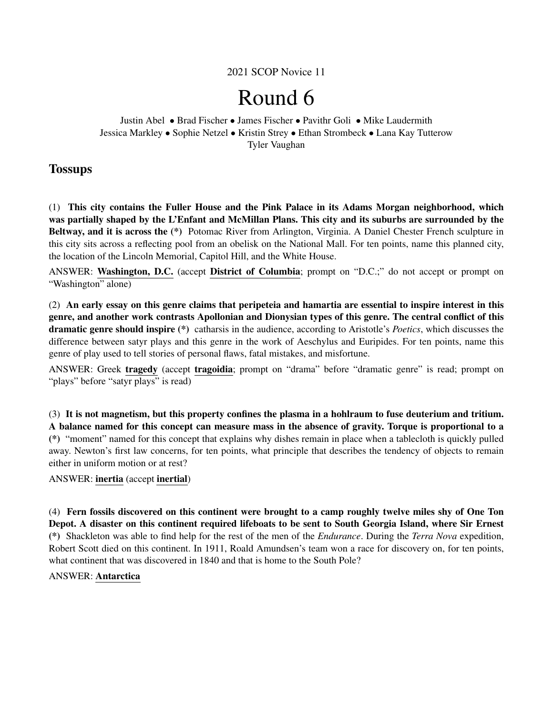2021 SCOP Novice 11

# Round 6

Justin Abel • Brad Fischer • James Fischer • Pavithr Goli • Mike Laudermith Jessica Markley • Sophie Netzel • Kristin Strey • Ethan Strombeck • Lana Kay Tutterow Tyler Vaughan

**Tossups** 

(1) This city contains the Fuller House and the Pink Palace in its Adams Morgan neighborhood, which was partially shaped by the L'Enfant and McMillan Plans. This city and its suburbs are surrounded by the Beltway, and it is across the (\*) Potomac River from Arlington, Virginia. A Daniel Chester French sculpture in this city sits across a reflecting pool from an obelisk on the National Mall. For ten points, name this planned city, the location of the Lincoln Memorial, Capitol Hill, and the White House.

ANSWER: Washington, D.C. (accept District of Columbia; prompt on "D.C.;" do not accept or prompt on "Washington" alone)

(2) An early essay on this genre claims that peripeteia and hamartia are essential to inspire interest in this genre, and another work contrasts Apollonian and Dionysian types of this genre. The central conflict of this dramatic genre should inspire (\*) catharsis in the audience, according to Aristotle's *Poetics*, which discusses the difference between satyr plays and this genre in the work of Aeschylus and Euripides. For ten points, name this genre of play used to tell stories of personal flaws, fatal mistakes, and misfortune.

ANSWER: Greek tragedy (accept tragoidia; prompt on "drama" before "dramatic genre" is read; prompt on "plays" before "satyr plays" is read)

(3) It is not magnetism, but this property confines the plasma in a hohlraum to fuse deuterium and tritium. A balance named for this concept can measure mass in the absence of gravity. Torque is proportional to a (\*) "moment" named for this concept that explains why dishes remain in place when a tablecloth is quickly pulled away. Newton's first law concerns, for ten points, what principle that describes the tendency of objects to remain either in uniform motion or at rest?

#### ANSWER: inertia (accept inertial)

(4) Fern fossils discovered on this continent were brought to a camp roughly twelve miles shy of One Ton Depot. A disaster on this continent required lifeboats to be sent to South Georgia Island, where Sir Ernest (\*) Shackleton was able to find help for the rest of the men of the *Endurance*. During the *Terra Nova* expedition, Robert Scott died on this continent. In 1911, Roald Amundsen's team won a race for discovery on, for ten points, what continent that was discovered in 1840 and that is home to the South Pole?

#### ANSWER: Antarctica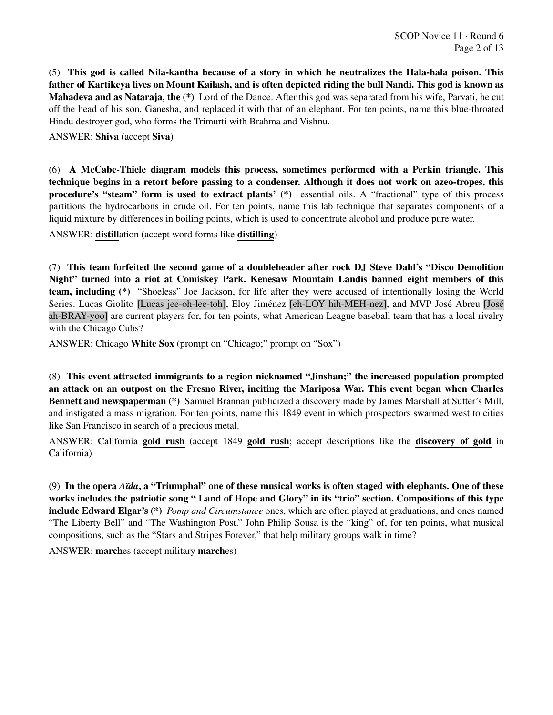(5) This god is called Nila-kantha because of a story in which he neutralizes the Hala-hala poison. This father of Kartikeya lives on Mount Kailash, and is often depicted riding the bull Nandi. This god is known as Mahadeva and as Nataraja, the (\*) Lord of the Dance. After this god was separated from his wife, Parvati, he cut off the head of his son, Ganesha, and replaced it with that of an elephant. For ten points, name this blue-throated Hindu destroyer god, who forms the Trimurti with Brahma and Vishnu.

ANSWER: Shiva (accept Siva)

(6) A McCabe-Thiele diagram models this process, sometimes performed with a Perkin triangle. This technique begins in a retort before passing to a condenser. Although it does not work on azeo-tropes, this procedure's "steam" form is used to extract plants' (\*) essential oils. A "fractional" type of this process partitions the hydrocarbons in crude oil. For ten points, name this lab technique that separates components of a liquid mixture by differences in boiling points, which is used to concentrate alcohol and produce pure water.

ANSWER: distillation (accept word forms like distilling)

(7) This team forfeited the second game of a doubleheader after rock DJ Steve Dahl's "Disco Demolition Night" turned into a riot at Comiskey Park. Kenesaw Mountain Landis banned eight members of this team, including (\*) "Shoeless" Joe Jackson, for life after they were accused of intentionally losing the World Series. Lucas Giolito [Lucas jee-oh-lee-toh], Eloy Jiménez [eh-LOY hih-MEH-nez], and MVP José Abreu [José ah-BRAY-yoo] are current players for, for ten points, what American League baseball team that has a local rivalry with the Chicago Cubs?

ANSWER: Chicago White Sox (prompt on "Chicago;" prompt on "Sox")

(8) This event attracted immigrants to a region nicknamed "Jinshan;" the increased population prompted an attack on an outpost on the Fresno River, inciting the Mariposa War. This event began when Charles Bennett and newspaperman (\*) Samuel Brannan publicized a discovery made by James Marshall at Sutter's Mill, and instigated a mass migration. For ten points, name this 1849 event in which prospectors swarmed west to cities like San Francisco in search of a precious metal.

ANSWER: California gold rush (accept 1849 gold rush; accept descriptions like the discovery of gold in California)

(9) In the opera *A¨ıda*, a "Triumphal" one of these musical works is often staged with elephants. One of these works includes the patriotic song " Land of Hope and Glory" in its "trio" section. Compositions of this type include Edward Elgar's (\*) *Pomp and Circumstance* ones, which are often played at graduations, and ones named "The Liberty Bell" and "The Washington Post." John Philip Sousa is the "king" of, for ten points, what musical compositions, such as the "Stars and Stripes Forever," that help military groups walk in time?

ANSWER: marches (accept military marches)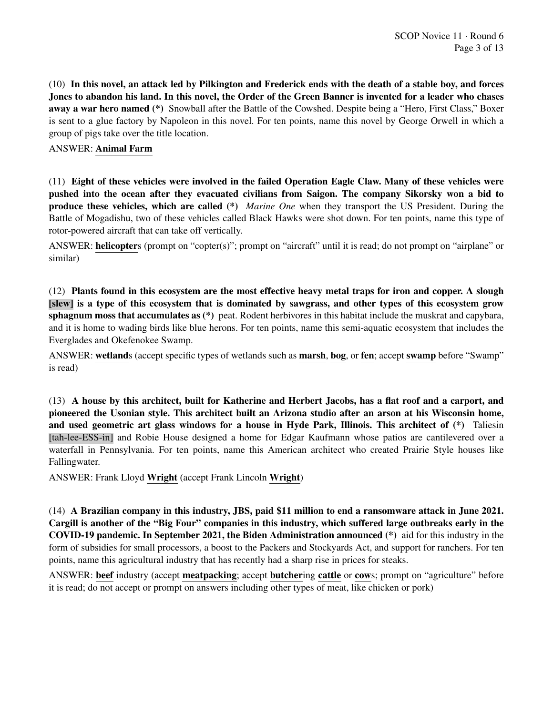(10) In this novel, an attack led by Pilkington and Frederick ends with the death of a stable boy, and forces Jones to abandon his land. In this novel, the Order of the Green Banner is invented for a leader who chases away a war hero named (\*) Snowball after the Battle of the Cowshed. Despite being a "Hero, First Class," Boxer is sent to a glue factory by Napoleon in this novel. For ten points, name this novel by George Orwell in which a group of pigs take over the title location.

# ANSWER: Animal Farm

(11) Eight of these vehicles were involved in the failed Operation Eagle Claw. Many of these vehicles were pushed into the ocean after they evacuated civilians from Saigon. The company Sikorsky won a bid to produce these vehicles, which are called (\*) *Marine One* when they transport the US President. During the Battle of Mogadishu, two of these vehicles called Black Hawks were shot down. For ten points, name this type of rotor-powered aircraft that can take off vertically.

ANSWER: helicopters (prompt on "copter(s)"; prompt on "aircraft" until it is read; do not prompt on "airplane" or similar)

(12) Plants found in this ecosystem are the most effective heavy metal traps for iron and copper. A slough [slew] is a type of this ecosystem that is dominated by sawgrass, and other types of this ecosystem grow sphagnum moss that accumulates as (\*) peat. Rodent herbivores in this habitat include the muskrat and capybara, and it is home to wading birds like blue herons. For ten points, name this semi-aquatic ecosystem that includes the Everglades and Okefenokee Swamp.

ANSWER: wetlands (accept specific types of wetlands such as marsh, bog, or fen; accept swamp before "Swamp" is read)

(13) A house by this architect, built for Katherine and Herbert Jacobs, has a flat roof and a carport, and pioneered the Usonian style. This architect built an Arizona studio after an arson at his Wisconsin home, and used geometric art glass windows for a house in Hyde Park, Illinois. This architect of (\*) Taliesin [tah-lee-ESS-in] and Robie House designed a home for Edgar Kaufmann whose patios are cantilevered over a waterfall in Pennsylvania. For ten points, name this American architect who created Prairie Style houses like Fallingwater.

ANSWER: Frank Lloyd Wright (accept Frank Lincoln Wright)

(14) A Brazilian company in this industry, JBS, paid \$11 million to end a ransomware attack in June 2021. Cargill is another of the "Big Four" companies in this industry, which suffered large outbreaks early in the COVID-19 pandemic. In September 2021, the Biden Administration announced (\*) aid for this industry in the form of subsidies for small processors, a boost to the Packers and Stockyards Act, and support for ranchers. For ten points, name this agricultural industry that has recently had a sharp rise in prices for steaks.

ANSWER: beef industry (accept meatpacking; accept butchering cattle or cows; prompt on "agriculture" before it is read; do not accept or prompt on answers including other types of meat, like chicken or pork)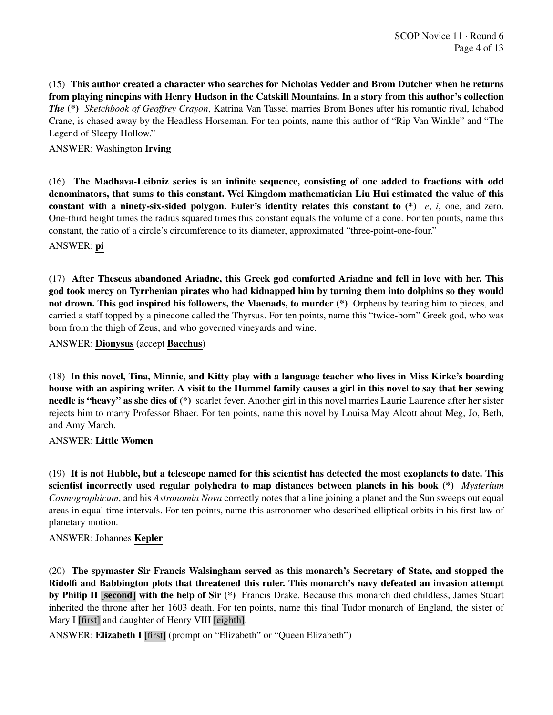(15) This author created a character who searches for Nicholas Vedder and Brom Dutcher when he returns from playing ninepins with Henry Hudson in the Catskill Mountains. In a story from this author's collection *The* (\*) *Sketchbook of Geoffrey Crayon*, Katrina Van Tassel marries Brom Bones after his romantic rival, Ichabod Crane, is chased away by the Headless Horseman. For ten points, name this author of "Rip Van Winkle" and "The Legend of Sleepy Hollow."

ANSWER: Washington Irving

(16) The Madhava-Leibniz series is an infinite sequence, consisting of one added to fractions with odd denominators, that sums to this constant. Wei Kingdom mathematician Liu Hui estimated the value of this constant with a ninety-six-sided polygon. Euler's identity relates this constant to (\*) *e*, *i*, one, and zero. One-third height times the radius squared times this constant equals the volume of a cone. For ten points, name this constant, the ratio of a circle's circumference to its diameter, approximated "three-point-one-four."

ANSWER: pi

(17) After Theseus abandoned Ariadne, this Greek god comforted Ariadne and fell in love with her. This god took mercy on Tyrrhenian pirates who had kidnapped him by turning them into dolphins so they would not drown. This god inspired his followers, the Maenads, to murder (\*) Orpheus by tearing him to pieces, and carried a staff topped by a pinecone called the Thyrsus. For ten points, name this "twice-born" Greek god, who was born from the thigh of Zeus, and who governed vineyards and wine.

ANSWER: Dionysus (accept Bacchus)

(18) In this novel, Tina, Minnie, and Kitty play with a language teacher who lives in Miss Kirke's boarding house with an aspiring writer. A visit to the Hummel family causes a girl in this novel to say that her sewing needle is "heavy" as she dies of (\*) scarlet fever. Another girl in this novel marries Laurie Laurence after her sister rejects him to marry Professor Bhaer. For ten points, name this novel by Louisa May Alcott about Meg, Jo, Beth, and Amy March.

ANSWER: Little Women

(19) It is not Hubble, but a telescope named for this scientist has detected the most exoplanets to date. This scientist incorrectly used regular polyhedra to map distances between planets in his book (\*) *Mysterium Cosmographicum*, and his *Astronomia Nova* correctly notes that a line joining a planet and the Sun sweeps out equal areas in equal time intervals. For ten points, name this astronomer who described elliptical orbits in his first law of planetary motion.

ANSWER: Johannes Kepler

(20) The spymaster Sir Francis Walsingham served as this monarch's Secretary of State, and stopped the Ridolfi and Babbington plots that threatened this ruler. This monarch's navy defeated an invasion attempt by Philip II [second] with the help of Sir (\*) Francis Drake. Because this monarch died childless, James Stuart inherited the throne after her 1603 death. For ten points, name this final Tudor monarch of England, the sister of Mary I [first] and daughter of Henry VIII [eighth].

ANSWER: Elizabeth I [first] (prompt on "Elizabeth" or "Queen Elizabeth")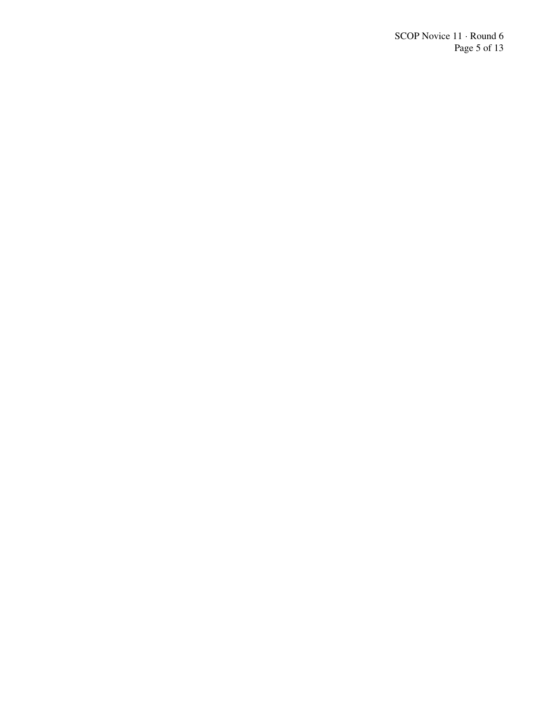SCOP Novice 11 · Round 6 Page 5 of 13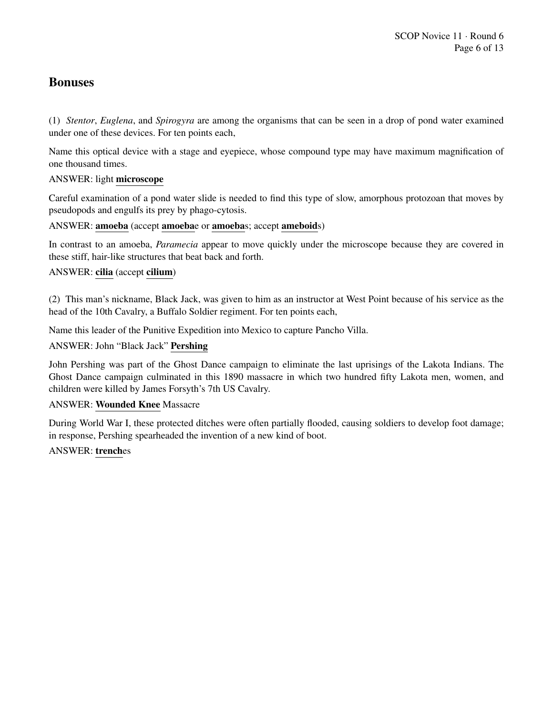# Bonuses

(1) *Stentor*, *Euglena*, and *Spirogyra* are among the organisms that can be seen in a drop of pond water examined under one of these devices. For ten points each,

Name this optical device with a stage and eyepiece, whose compound type may have maximum magnification of one thousand times.

# ANSWER: light microscope

Careful examination of a pond water slide is needed to find this type of slow, amorphous protozoan that moves by pseudopods and engulfs its prey by phago-cytosis.

# ANSWER: amoeba (accept amoebae or amoebas; accept ameboids)

In contrast to an amoeba, *Paramecia* appear to move quickly under the microscope because they are covered in these stiff, hair-like structures that beat back and forth.

# ANSWER: cilia (accept cilium)

(2) This man's nickname, Black Jack, was given to him as an instructor at West Point because of his service as the head of the 10th Cavalry, a Buffalo Soldier regiment. For ten points each,

Name this leader of the Punitive Expedition into Mexico to capture Pancho Villa.

ANSWER: John "Black Jack" Pershing

John Pershing was part of the Ghost Dance campaign to eliminate the last uprisings of the Lakota Indians. The Ghost Dance campaign culminated in this 1890 massacre in which two hundred fifty Lakota men, women, and children were killed by James Forsyth's 7th US Cavalry.

# ANSWER: Wounded Knee Massacre

During World War I, these protected ditches were often partially flooded, causing soldiers to develop foot damage; in response, Pershing spearheaded the invention of a new kind of boot.

#### ANSWER: trenches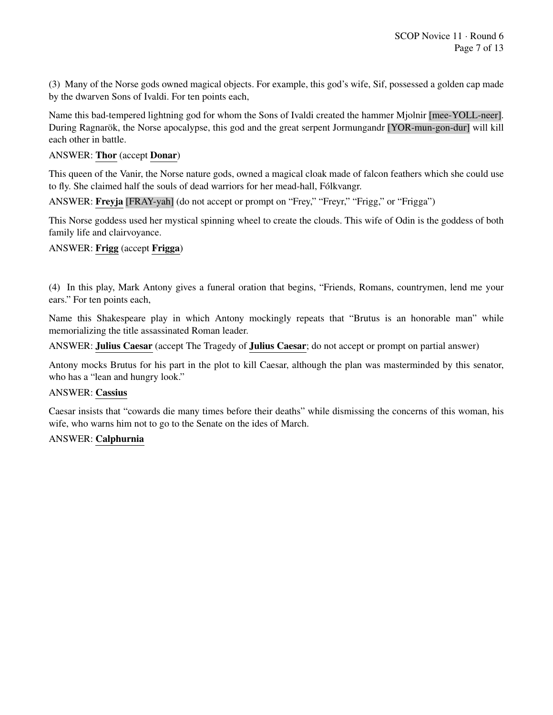(3) Many of the Norse gods owned magical objects. For example, this god's wife, Sif, possessed a golden cap made by the dwarven Sons of Ivaldi. For ten points each,

Name this bad-tempered lightning god for whom the Sons of Ivaldi created the hammer Mjolnir [mee-YOLL-neer]. During Ragnarök, the Norse apocalypse, this god and the great serpent Jormungandr [YOR-mun-gon-dur] will kill each other in battle.

#### ANSWER: Thor (accept Donar)

This queen of the Vanir, the Norse nature gods, owned a magical cloak made of falcon feathers which she could use to fly. She claimed half the souls of dead warriors for her mead-hall, Folkvangr. ´

ANSWER: Freyja [FRAY-yah] (do not accept or prompt on "Frey," "Freyr," "Frigg," or "Frigga")

This Norse goddess used her mystical spinning wheel to create the clouds. This wife of Odin is the goddess of both family life and clairvoyance.

# ANSWER: Frigg (accept Frigga)

(4) In this play, Mark Antony gives a funeral oration that begins, "Friends, Romans, countrymen, lend me your ears." For ten points each,

Name this Shakespeare play in which Antony mockingly repeats that "Brutus is an honorable man" while memorializing the title assassinated Roman leader.

ANSWER: Julius Caesar (accept The Tragedy of Julius Caesar; do not accept or prompt on partial answer)

Antony mocks Brutus for his part in the plot to kill Caesar, although the plan was masterminded by this senator, who has a "lean and hungry look."

#### ANSWER: Cassius

Caesar insists that "cowards die many times before their deaths" while dismissing the concerns of this woman, his wife, who warns him not to go to the Senate on the ides of March.

#### ANSWER: Calphurnia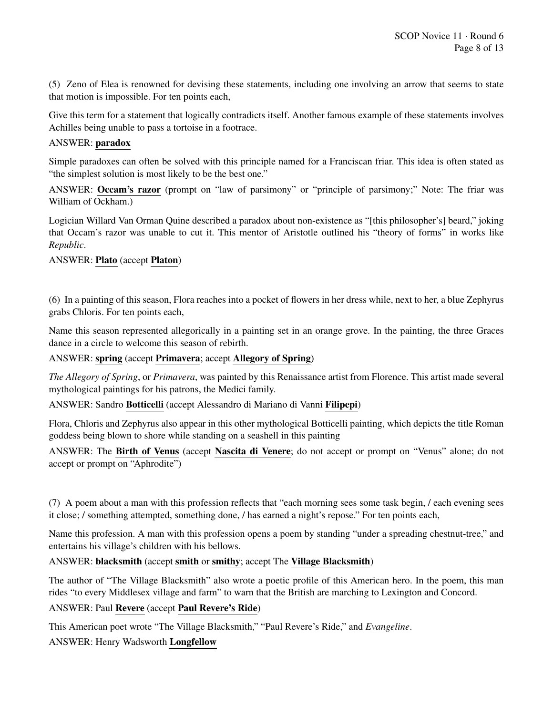(5) Zeno of Elea is renowned for devising these statements, including one involving an arrow that seems to state that motion is impossible. For ten points each,

Give this term for a statement that logically contradicts itself. Another famous example of these statements involves Achilles being unable to pass a tortoise in a footrace.

#### ANSWER: paradox

Simple paradoxes can often be solved with this principle named for a Franciscan friar. This idea is often stated as "the simplest solution is most likely to be the best one."

ANSWER: Occam's razor (prompt on "law of parsimony" or "principle of parsimony;" Note: The friar was William of Ockham.)

Logician Willard Van Orman Quine described a paradox about non-existence as "[this philosopher's] beard," joking that Occam's razor was unable to cut it. This mentor of Aristotle outlined his "theory of forms" in works like *Republic*.

# ANSWER: Plato (accept Platon)

(6) In a painting of this season, Flora reaches into a pocket of flowers in her dress while, next to her, a blue Zephyrus grabs Chloris. For ten points each,

Name this season represented allegorically in a painting set in an orange grove. In the painting, the three Graces dance in a circle to welcome this season of rebirth.

#### ANSWER: spring (accept Primavera; accept Allegory of Spring)

*The Allegory of Spring*, or *Primavera*, was painted by this Renaissance artist from Florence. This artist made several mythological paintings for his patrons, the Medici family.

ANSWER: Sandro Botticelli (accept Alessandro di Mariano di Vanni Filipepi)

Flora, Chloris and Zephyrus also appear in this other mythological Botticelli painting, which depicts the title Roman goddess being blown to shore while standing on a seashell in this painting

ANSWER: The Birth of Venus (accept Nascita di Venere; do not accept or prompt on "Venus" alone; do not accept or prompt on "Aphrodite")

(7) A poem about a man with this profession reflects that "each morning sees some task begin, / each evening sees it close; / something attempted, something done, / has earned a night's repose." For ten points each,

Name this profession. A man with this profession opens a poem by standing "under a spreading chestnut-tree," and entertains his village's children with his bellows.

# ANSWER: blacksmith (accept smith or smithy; accept The Village Blacksmith)

The author of "The Village Blacksmith" also wrote a poetic profile of this American hero. In the poem, this man rides "to every Middlesex village and farm" to warn that the British are marching to Lexington and Concord.

#### ANSWER: Paul Revere (accept Paul Revere's Ride)

This American poet wrote "The Village Blacksmith," "Paul Revere's Ride," and *Evangeline*.

ANSWER: Henry Wadsworth Longfellow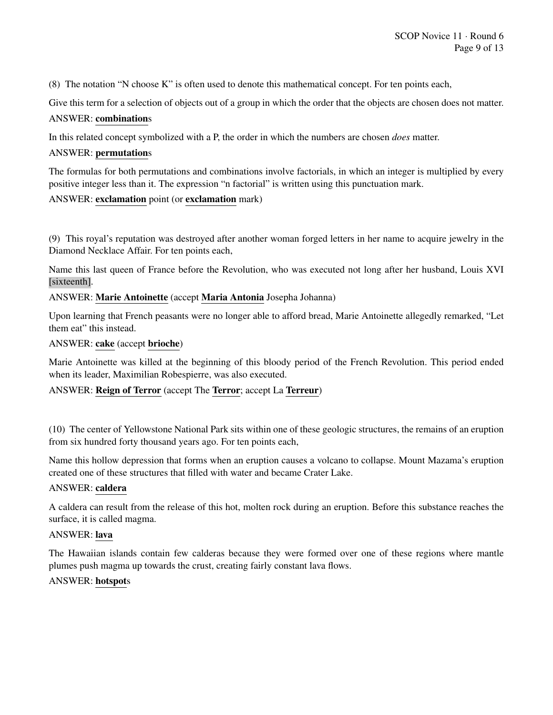(8) The notation "N choose K" is often used to denote this mathematical concept. For ten points each,

Give this term for a selection of objects out of a group in which the order that the objects are chosen does not matter.

# ANSWER: combinations

In this related concept symbolized with a P, the order in which the numbers are chosen *does* matter.

# ANSWER: permutations

The formulas for both permutations and combinations involve factorials, in which an integer is multiplied by every positive integer less than it. The expression "n factorial" is written using this punctuation mark.

# ANSWER: exclamation point (or exclamation mark)

(9) This royal's reputation was destroyed after another woman forged letters in her name to acquire jewelry in the Diamond Necklace Affair. For ten points each,

Name this last queen of France before the Revolution, who was executed not long after her husband, Louis XVI [sixteenth].

# ANSWER: Marie Antoinette (accept Maria Antonia Josepha Johanna)

Upon learning that French peasants were no longer able to afford bread, Marie Antoinette allegedly remarked, "Let them eat" this instead.

# ANSWER: cake (accept brioche)

Marie Antoinette was killed at the beginning of this bloody period of the French Revolution. This period ended when its leader, Maximilian Robespierre, was also executed.

# ANSWER: Reign of Terror (accept The Terror; accept La Terreur)

(10) The center of Yellowstone National Park sits within one of these geologic structures, the remains of an eruption from six hundred forty thousand years ago. For ten points each,

Name this hollow depression that forms when an eruption causes a volcano to collapse. Mount Mazama's eruption created one of these structures that filled with water and became Crater Lake.

#### ANSWER: caldera

A caldera can result from the release of this hot, molten rock during an eruption. Before this substance reaches the surface, it is called magma.

#### ANSWER: lava

The Hawaiian islands contain few calderas because they were formed over one of these regions where mantle plumes push magma up towards the crust, creating fairly constant lava flows.

#### ANSWER: hotspots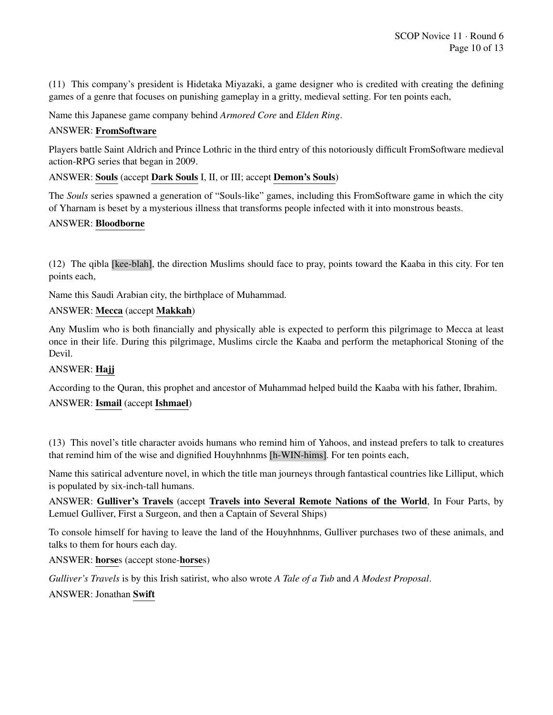(11) This company's president is Hidetaka Miyazaki, a game designer who is credited with creating the defining games of a genre that focuses on punishing gameplay in a gritty, medieval setting. For ten points each,

Name this Japanese game company behind *Armored Core* and *Elden Ring*.

#### ANSWER: FromSoftware

Players battle Saint Aldrich and Prince Lothric in the third entry of this notoriously difficult FromSoftware medieval action-RPG series that began in 2009.

# ANSWER: Souls (accept Dark Souls I, II, or III; accept Demon's Souls)

The *Souls* series spawned a generation of "Souls-like" games, including this FromSoftware game in which the city of Yharnam is beset by a mysterious illness that transforms people infected with it into monstrous beasts.

# ANSWER: Bloodborne

(12) The qibla [kee-blah], the direction Muslims should face to pray, points toward the Kaaba in this city. For ten points each,

Name this Saudi Arabian city, the birthplace of Muhammad.

# ANSWER: Mecca (accept Makkah)

Any Muslim who is both financially and physically able is expected to perform this pilgrimage to Mecca at least once in their life. During this pilgrimage, Muslims circle the Kaaba and perform the metaphorical Stoning of the Devil.

# ANSWER: Hajj

According to the Quran, this prophet and ancestor of Muhammad helped build the Kaaba with his father, Ibrahim. ANSWER: Ismail (accept Ishmael)

(13) This novel's title character avoids humans who remind him of Yahoos, and instead prefers to talk to creatures that remind him of the wise and dignified Houyhnhnms [h-WIN-hims]. For ten points each,

Name this satirical adventure novel, in which the title man journeys through fantastical countries like Lilliput, which is populated by six-inch-tall humans.

ANSWER: Gulliver's Travels (accept Travels into Several Remote Nations of the World, In Four Parts, by Lemuel Gulliver, First a Surgeon, and then a Captain of Several Ships)

To console himself for having to leave the land of the Houyhnhnms, Gulliver purchases two of these animals, and talks to them for hours each day.

#### ANSWER: horses (accept stone-horses)

*Gulliver's Travels* is by this Irish satirist, who also wrote *A Tale of a Tub* and *A Modest Proposal*.

ANSWER: Jonathan Swift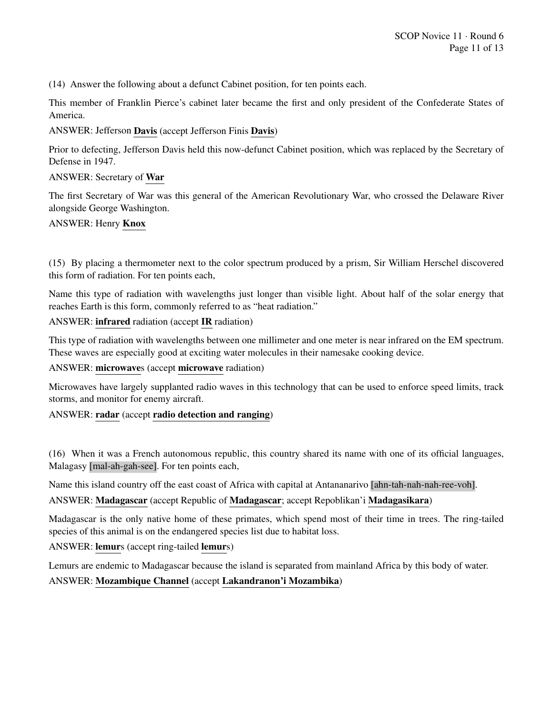(14) Answer the following about a defunct Cabinet position, for ten points each.

This member of Franklin Pierce's cabinet later became the first and only president of the Confederate States of America.

ANSWER: Jefferson Davis (accept Jefferson Finis Davis)

Prior to defecting, Jefferson Davis held this now-defunct Cabinet position, which was replaced by the Secretary of Defense in 1947.

# ANSWER: Secretary of War

The first Secretary of War was this general of the American Revolutionary War, who crossed the Delaware River alongside George Washington.

# ANSWER: Henry Knox

(15) By placing a thermometer next to the color spectrum produced by a prism, Sir William Herschel discovered this form of radiation. For ten points each,

Name this type of radiation with wavelengths just longer than visible light. About half of the solar energy that reaches Earth is this form, commonly referred to as "heat radiation."

ANSWER: infrared radiation (accept IR radiation)

This type of radiation with wavelengths between one millimeter and one meter is near infrared on the EM spectrum. These waves are especially good at exciting water molecules in their namesake cooking device.

# ANSWER: microwaves (accept microwave radiation)

Microwaves have largely supplanted radio waves in this technology that can be used to enforce speed limits, track storms, and monitor for enemy aircraft.

#### ANSWER: radar (accept radio detection and ranging)

(16) When it was a French autonomous republic, this country shared its name with one of its official languages, Malagasy [mal-ah-gah-see]. For ten points each,

Name this island country off the east coast of Africa with capital at Antananarivo [ahn-tah-nah-nah-ree-voh].

ANSWER: Madagascar (accept Republic of Madagascar; accept Repoblikan'i Madagasikara)

Madagascar is the only native home of these primates, which spend most of their time in trees. The ring-tailed species of this animal is on the endangered species list due to habitat loss.

ANSWER: lemurs (accept ring-tailed lemurs)

Lemurs are endemic to Madagascar because the island is separated from mainland Africa by this body of water. ANSWER: Mozambique Channel (accept Lakandranon'i Mozambika)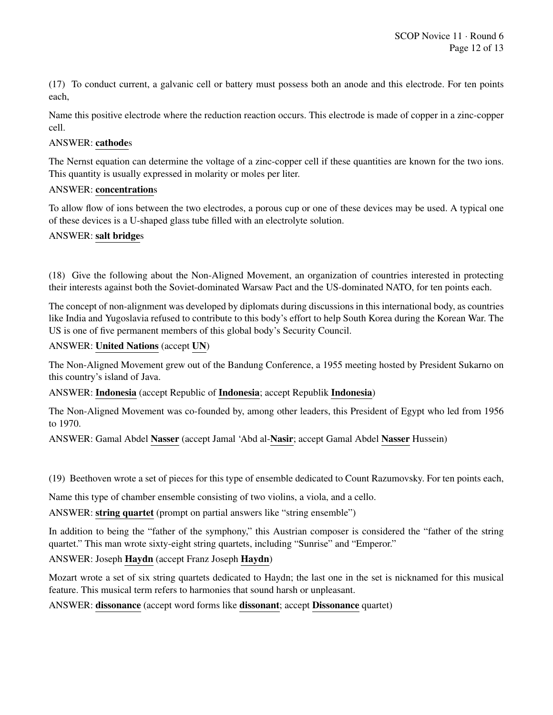(17) To conduct current, a galvanic cell or battery must possess both an anode and this electrode. For ten points each,

Name this positive electrode where the reduction reaction occurs. This electrode is made of copper in a zinc-copper cell.

# ANSWER: cathodes

The Nernst equation can determine the voltage of a zinc-copper cell if these quantities are known for the two ions. This quantity is usually expressed in molarity or moles per liter.

# ANSWER: concentrations

To allow flow of ions between the two electrodes, a porous cup or one of these devices may be used. A typical one of these devices is a U-shaped glass tube filled with an electrolyte solution.

# ANSWER: salt bridges

(18) Give the following about the Non-Aligned Movement, an organization of countries interested in protecting their interests against both the Soviet-dominated Warsaw Pact and the US-dominated NATO, for ten points each.

The concept of non-alignment was developed by diplomats during discussions in this international body, as countries like India and Yugoslavia refused to contribute to this body's effort to help South Korea during the Korean War. The US is one of five permanent members of this global body's Security Council.

# ANSWER: United Nations (accept UN)

The Non-Aligned Movement grew out of the Bandung Conference, a 1955 meeting hosted by President Sukarno on this country's island of Java.

ANSWER: Indonesia (accept Republic of Indonesia; accept Republik Indonesia)

The Non-Aligned Movement was co-founded by, among other leaders, this President of Egypt who led from 1956 to 1970.

ANSWER: Gamal Abdel Nasser (accept Jamal 'Abd al-Nasir; accept Gamal Abdel Nasser Hussein)

(19) Beethoven wrote a set of pieces for this type of ensemble dedicated to Count Razumovsky. For ten points each,

Name this type of chamber ensemble consisting of two violins, a viola, and a cello.

ANSWER: string quartet (prompt on partial answers like "string ensemble")

In addition to being the "father of the symphony," this Austrian composer is considered the "father of the string quartet." This man wrote sixty-eight string quartets, including "Sunrise" and "Emperor."

ANSWER: Joseph Haydn (accept Franz Joseph Haydn)

Mozart wrote a set of six string quartets dedicated to Haydn; the last one in the set is nicknamed for this musical feature. This musical term refers to harmonies that sound harsh or unpleasant.

ANSWER: dissonance (accept word forms like dissonant; accept Dissonance quartet)